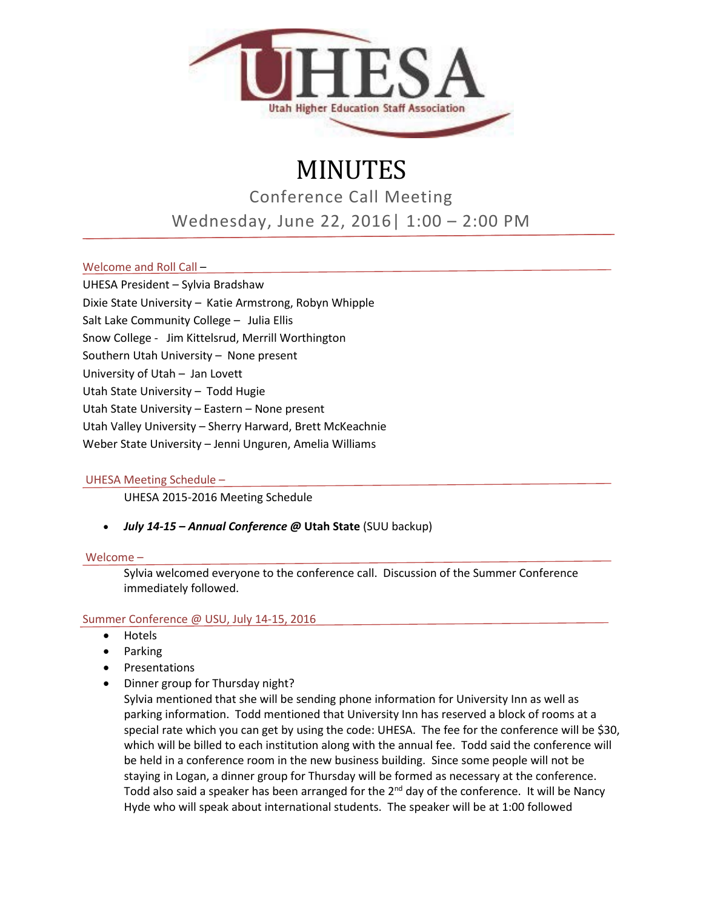

# MINUTES

Conference Call Meeting

Wednesday, June 22, 2016| 1:00 – 2:00 PM

# Welcome and Roll Call –

UHESA President – Sylvia Bradshaw

Dixie State University – Katie Armstrong, Robyn Whipple

Salt Lake Community College – Julia Ellis

Snow College - Jim Kittelsrud, Merrill Worthington

Southern Utah University – None present

University of Utah – Jan Lovett

Utah State University – Todd Hugie

Utah State University – Eastern – None present

Utah Valley University – Sherry Harward, Brett McKeachnie

Weber State University – Jenni Unguren, Amelia Williams

# UHESA Meeting Schedule –

UHESA 2015-2016 Meeting Schedule

# • *July 14-15 – Annual Conference @* **Utah State** (SUU backup)

#### Welcome –

Sylvia welcomed everyone to the conference call. Discussion of the Summer Conference immediately followed.

# Summer Conference @ USU, July 14-15, 2016

- Hotels
- Parking
- Presentations
- Dinner group for Thursday night?

Sylvia mentioned that she will be sending phone information for University Inn as well as parking information. Todd mentioned that University Inn has reserved a block of rooms at a special rate which you can get by using the code: UHESA. The fee for the conference will be \$30, which will be billed to each institution along with the annual fee. Todd said the conference will be held in a conference room in the new business building. Since some people will not be staying in Logan, a dinner group for Thursday will be formed as necessary at the conference. Todd also said a speaker has been arranged for the 2<sup>nd</sup> day of the conference. It will be Nancy Hyde who will speak about international students. The speaker will be at 1:00 followed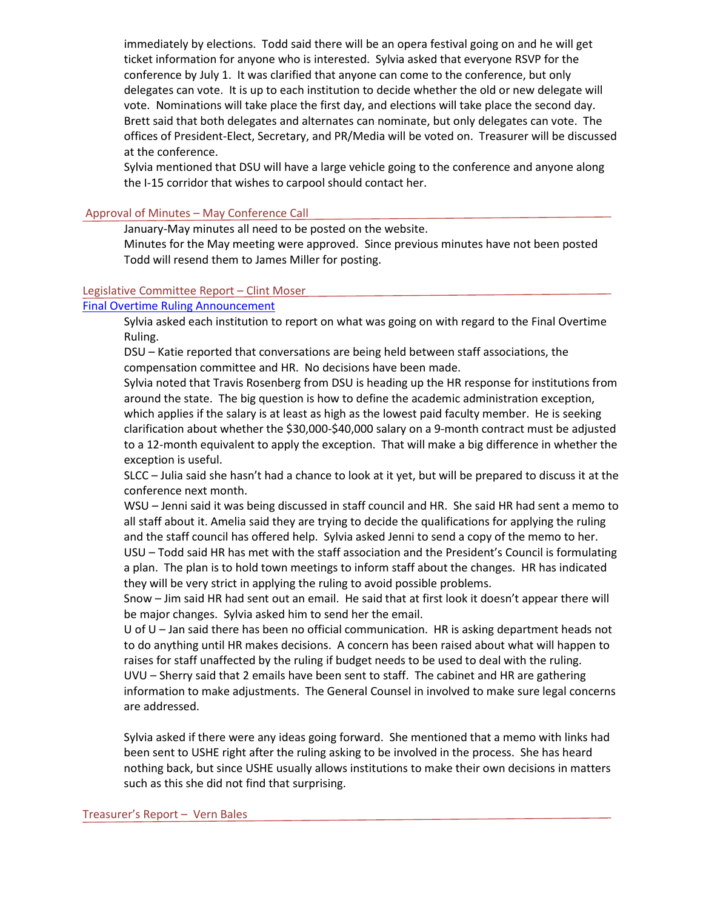immediately by elections. Todd said there will be an opera festival going on and he will get ticket information for anyone who is interested. Sylvia asked that everyone RSVP for the conference by July 1. It was clarified that anyone can come to the conference, but only delegates can vote. It is up to each institution to decide whether the old or new delegate will vote. Nominations will take place the first day, and elections will take place the second day. Brett said that both delegates and alternates can nominate, but only delegates can vote. The offices of President-Elect, Secretary, and PR/Media will be voted on. Treasurer will be discussed at the conference.

Sylvia mentioned that DSU will have a large vehicle going to the conference and anyone along the I-15 corridor that wishes to carpool should contact her.

## Approval of Minutes – May Conference Call

January-May minutes all need to be posted on the website.

Minutes for the May meeting were approved. Since previous minutes have not been posted Todd will resend them to James Miller for posting.

#### Legislative Committee Report – Clint Moser

## [Final Overtime Ruling Announcement](http://www.politico.com/tipsheets/morning-shift/2016/05/obama-administration-to-unveil-major-overtime-rule-wednesday-building-trades-lash-out-against-steyer-eeoc-wellness-regs-leave-everyone-unhappy-214334)

Sylvia asked each institution to report on what was going on with regard to the Final Overtime Ruling.

DSU – Katie reported that conversations are being held between staff associations, the compensation committee and HR. No decisions have been made.

Sylvia noted that Travis Rosenberg from DSU is heading up the HR response for institutions from around the state. The big question is how to define the academic administration exception, which applies if the salary is at least as high as the lowest paid faculty member. He is seeking clarification about whether the \$30,000-\$40,000 salary on a 9-month contract must be adjusted to a 12-month equivalent to apply the exception. That will make a big difference in whether the exception is useful.

SLCC – Julia said she hasn't had a chance to look at it yet, but will be prepared to discuss it at the conference next month.

WSU – Jenni said it was being discussed in staff council and HR. She said HR had sent a memo to all staff about it. Amelia said they are trying to decide the qualifications for applying the ruling and the staff council has offered help. Sylvia asked Jenni to send a copy of the memo to her. USU – Todd said HR has met with the staff association and the President's Council is formulating a plan. The plan is to hold town meetings to inform staff about the changes. HR has indicated they will be very strict in applying the ruling to avoid possible problems.

Snow – Jim said HR had sent out an email. He said that at first look it doesn't appear there will be major changes. Sylvia asked him to send her the email.

U of U – Jan said there has been no official communication. HR is asking department heads not to do anything until HR makes decisions. A concern has been raised about what will happen to raises for staff unaffected by the ruling if budget needs to be used to deal with the ruling. UVU – Sherry said that 2 emails have been sent to staff. The cabinet and HR are gathering information to make adjustments. The General Counsel in involved to make sure legal concerns are addressed.

Sylvia asked if there were any ideas going forward. She mentioned that a memo with links had been sent to USHE right after the ruling asking to be involved in the process. She has heard nothing back, but since USHE usually allows institutions to make their own decisions in matters such as this she did not find that surprising.